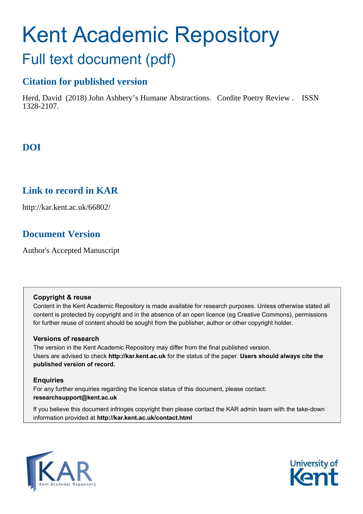# Kent Academic Repository Full text document (pdf)

# **Citation for published version**

Herd, David (2018) John Ashbery's Humane Abstractions. Cordite Poetry Review . ISSN 1328-2107.

# **DOI**

# **Link to record in KAR**

http://kar.kent.ac.uk/66802/

# **Document Version**

Author's Accepted Manuscript

## **Copyright & reuse**

Content in the Kent Academic Repository is made available for research purposes. Unless otherwise stated all content is protected by copyright and in the absence of an open licence (eg Creative Commons), permissions for further reuse of content should be sought from the publisher, author or other copyright holder.

## **Versions of research**

The version in the Kent Academic Repository may differ from the final published version. Users are advised to check **http://kar.kent.ac.uk** for the status of the paper. **Users should always cite the published version of record.**

## **Enquiries**

For any further enquiries regarding the licence status of this document, please contact: **researchsupport@kent.ac.uk**

If you believe this document infringes copyright then please contact the KAR admin team with the take-down information provided at **http://kar.kent.ac.uk/contact.html**



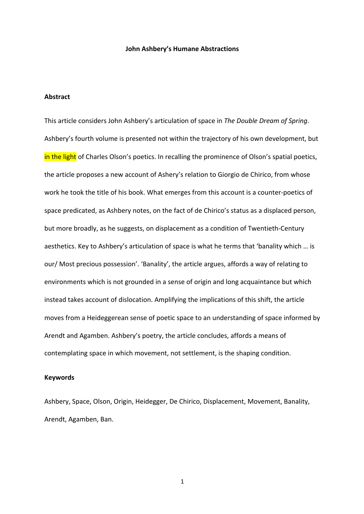#### **John Ashbery's Humane Abstractions**

### **Abstract**

This article considers John Ashbery's articulation of space in *The Double Dream of Spring*. Ashbery's fourth volume is presented not within the trajectory of his own development, but in the light of Charles Olson's poetics. In recalling the prominence of Olson's spatial poetics, the article proposes a new account of Ashery's relation to Giorgio de Chirico, from whose work he took the title of his book. What emerges from this account is a counter‐poetics of space predicated, as Ashbery notes, on the fact of de Chirico's status as a displaced person, but more broadly, as he suggests, on displacement as a condition of Twentieth‐Century aesthetics. Key to Ashbery's articulation of space is what he terms that 'banality which … is our/ Most precious possession'. 'Banality', the article argues, affords a way of relating to environments which is not grounded in a sense of origin and long acquaintance but which instead takes account of dislocation. Amplifying the implications of this shift, the article moves from a Heideggerean sense of poetic space to an understanding of space informed by Arendt and Agamben. Ashbery's poetry, the article concludes, affords a means of contemplating space in which movement, not settlement, is the shaping condition.

### **Keywords**

Ashbery, Space, Olson, Origin, Heidegger, De Chirico, Displacement, Movement, Banality, Arendt, Agamben, Ban.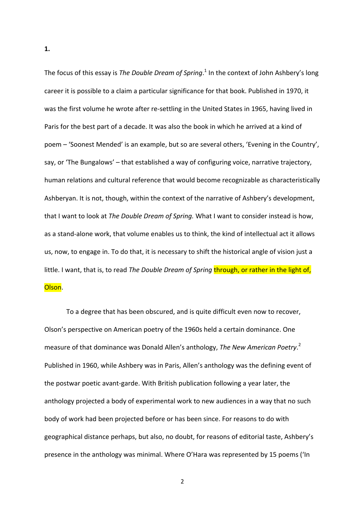The focus of this essay is *The Double Dream of Spring*.<sup>1</sup> In the context of John Ashbery's long career it is possible to a claim a particular significance for that book. Published in 1970, it was the first volume he wrote after re-settling in the United States in 1965, having lived in Paris for the best part of a decade. It was also the book in which he arrived at a kind of poem – 'Soonest Mended' is an example, but so are several others, 'Evening in the Country', say, or 'The Bungalows' – that established a way of configuring voice, narrative trajectory, human relations and cultural reference that would become recognizable as characteristically Ashberyan. It is not, though, within the context of the narrative of Ashbery's development, that I want to look at *The Double Dream of Spring.* What I want to consider instead is how, as a stand‐alone work, that volume enables us to think, the kind of intellectual act it allows us, now, to engage in. To do that, it is necessary to shift the historical angle of vision just a little. I want, that is, to read *The Double Dream of Spring* through, or rather in the light of, Olson.

To a degree that has been obscured, and is quite difficult even now to recover, Olson's perspective on American poetry of the 1960s held a certain dominance. One measure of that dominance was Donald Allen's anthology, *The New American Poetry*. 2 Published in 1960, while Ashbery was in Paris, Allen's anthology was the defining event of the postwar poetic avant‐garde. With British publication following a year later, the anthology projected a body of experimental work to new audiences in a way that no such body of work had been projected before or has been since. For reasons to do with geographical distance perhaps, but also, no doubt, for reasons of editorial taste, Ashbery's presence in the anthology was minimal. Where O'Hara was represented by 15 poems ('In

**1.**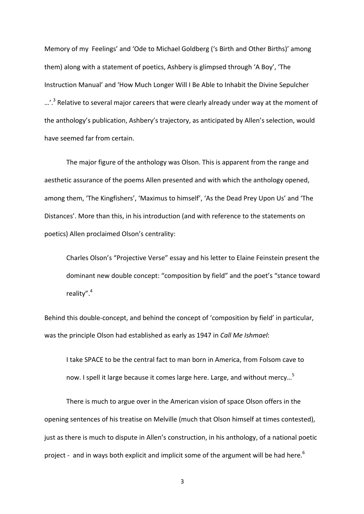Memory of my Feelings' and 'Ode to Michael Goldberg ('s Birth and Other Births)' among them) along with a statement of poetics, Ashbery is glimpsed through 'A Boy', 'The Instruction Manual' and 'How Much Longer Will I Be Able to Inhabit the Divine Sepulcher ...'.<sup>3</sup> Relative to several major careers that were clearly already under way at the moment of the anthology's publication, Ashbery's trajectory, as anticipated by Allen's selection, would have seemed far from certain.

The major figure of the anthology was Olson. This is apparent from the range and aesthetic assurance of the poems Allen presented and with which the anthology opened, among them, 'The Kingfishers', 'Maximus to himself', 'As the Dead Prey Upon Us' and 'The Distances'. More than this, in his introduction (and with reference to the statements on poetics) Allen proclaimed Olson's centrality:

Charles Olson's "Projective Verse" essay and his letter to Elaine Feinstein present the dominant new double concept: "composition by field" and the poet's "stance toward reality".<sup>4</sup>

Behind this double-concept, and behind the concept of 'composition by field' in particular, was the principle Olson had established as early as 1947 in *Call Me Ishmael*:

I take SPACE to be the central fact to man born in America, from Folsom cave to now. I spell it large because it comes large here. Large, and without mercy...<sup>5</sup>

There is much to argue over in the American vision of space Olson offers in the opening sentences of his treatise on Melville (much that Olson himself at times contested), just as there is much to dispute in Allen's construction, in his anthology, of a national poetic project - and in ways both explicit and implicit some of the argument will be had here.<sup>6</sup>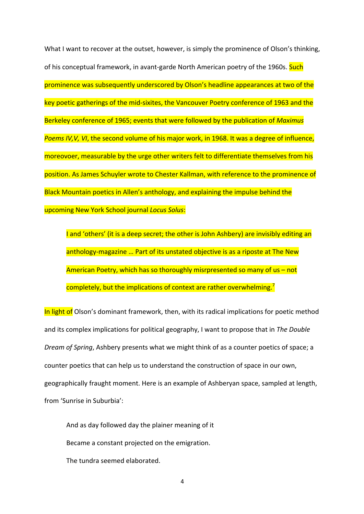What I want to recover at the outset, however, is simply the prominence of Olson's thinking, of his conceptual framework, in avant-garde North American poetry of the 1960s. Such prominence was subsequently underscored by Olson's headline appearances at two of the key poetic gatherings of the mid‐sixites, the Vancouver Poetry conference of 1963 and the Berkeley conference of 1965; events that were followed by the publication of *Maximus Poems IV,V, VI*, the second volume of his major work, in 1968. It was a degree of influence, moreovoer, measurable by the urge other writers felt to differentiate themselves from his position. As James Schuyler wrote to Chester Kallman, with reference to the prominence of Black Mountain poetics in Allen's anthology, and explaining the impulse behind the upcoming New York School journal *Locus Solus*:

I and 'others' (it is a deep secret; the other is John Ashbery) are invisibly editing an anthology‐magazine … Part of its unstated objective is as a riposte at The New American Poetry, which has so thoroughly misrpresented so many of us – not completely, but the implications of context are rather overwhelming.<sup>7</sup>

In light of Olson's dominant framework, then, with its radical implications for poetic method and its complex implications for political geography, I want to propose that in *The Double Dream of Spring*, Ashbery presents what we might think of as a counter poetics of space; a counter poetics that can help us to understand the construction of space in our own, geographically fraught moment. Here is an example of Ashberyan space, sampled at length, from 'Sunrise in Suburbia':

And as day followed day the plainer meaning of it Became a constant projected on the emigration. The tundra seemed elaborated.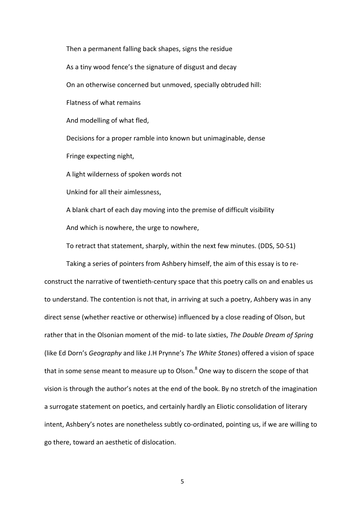Then a permanent falling back shapes, signs the residue As a tiny wood fence's the signature of disgust and decay On an otherwise concerned but unmoved, specially obtruded hill: Flatness of what remains And modelling of what fled, Decisions for a proper ramble into known but unimaginable, dense Fringe expecting night, A light wilderness of spoken words not Unkind for all their aimlessness, A blank chart of each day moving into the premise of difficult visibility And which is nowhere, the urge to nowhere, To retract that statement, sharply, within the next few minutes. (DDS, 50‐51)

Taking a series of pointers from Ashbery himself, the aim of this essay is to re‐ construct the narrative of twentieth-century space that this poetry calls on and enables us to understand. The contention is not that, in arriving at such a poetry, Ashbery was in any direct sense (whether reactive or otherwise) influenced by a close reading of Olson, but rather that in the Olsonian moment of the mid‐ to late sixties, *The Double Dream of Spring* (like Ed Dorn's *Geography* and like J.H Prynne's *The White Stones*) offered a vision of space that in some sense meant to measure up to Olson.<sup>8</sup> One way to discern the scope of that vision is through the author's notes at the end of the book. By no stretch of the imagination a surrogate statement on poetics, and certainly hardly an Eliotic consolidation of literary intent, Ashbery's notes are nonetheless subtly co-ordinated, pointing us, if we are willing to go there, toward an aesthetic of dislocation.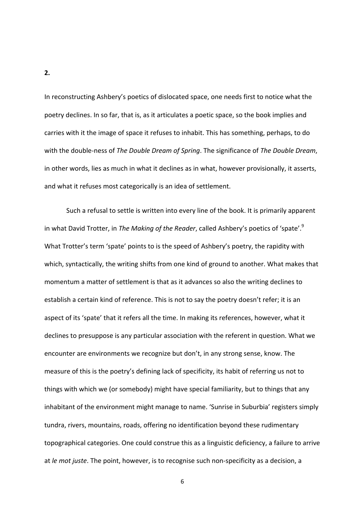In reconstructing Ashbery's poetics of dislocated space, one needs first to notice what the poetry declines. In so far, that is, as it articulates a poetic space, so the book implies and carries with it the image of space it refuses to inhabit. This has something, perhaps, to do with the double‐ness of *The Double Dream of Spring*. The significance of *The Double Dream*, in other words, lies as much in what it declines as in what, however provisionally, it asserts, and what it refuses most categorically is an idea of settlement.

Such a refusal to settle is written into every line of the book. It is primarily apparent in what David Trotter, in *The Making of the Reader*, called Ashbery's poetics of 'spate'.<sup>9</sup> What Trotter's term 'spate' points to is the speed of Ashbery's poetry, the rapidity with which, syntactically, the writing shifts from one kind of ground to another. What makes that momentum a matter of settlement is that as it advances so also the writing declines to establish a certain kind of reference. This is not to say the poetry doesn't refer; it is an aspect of its 'spate' that it refers all the time. In making its references, however, what it declines to presuppose is any particular association with the referent in question. What we encounter are environments we recognize but don't, in any strong sense, know. The measure of this is the poetry's defining lack of specificity, its habit of referring us not to things with which we (or somebody) might have special familiarity, but to things that any inhabitant of the environment might manage to name. 'Sunrise in Suburbia' registers simply tundra, rivers, mountains, roads, offering no identification beyond these rudimentary topographical categories. One could construe this as a linguistic deficiency, a failure to arrive at *le mot juste*. The point, however, is to recognise such non‐specificity as a decision, a

**2.**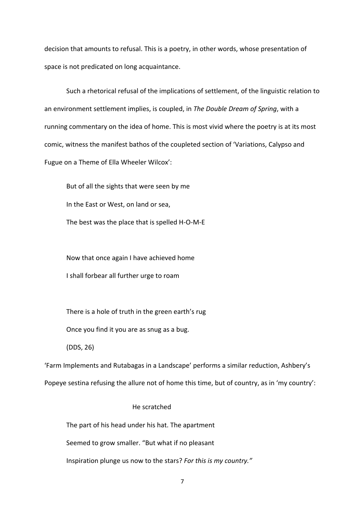decision that amounts to refusal. This is a poetry, in other words, whose presentation of space is not predicated on long acquaintance.

Such a rhetorical refusal of the implications of settlement, of the linguistic relation to an environment settlement implies, is coupled, in *The Double Dream of Spring*, with a running commentary on the idea of home. This is most vivid where the poetry is at its most comic, witness the manifest bathos of the coupleted section of 'Variations, Calypso and Fugue on a Theme of Ella Wheeler Wilcox':

But of all the sights that were seen by me In the East or West, on land or sea, The best was the place that is spelled H‐O‐M‐E

Now that once again I have achieved home

I shall forbear all further urge to roam

There is a hole of truth in the green earth's rug

Once you find it you are as snug as a bug.

(DDS, 26)

'Farm Implements and Rutabagas in a Landscape' performs a similar reduction, Ashbery's Popeye sestina refusing the allure not of home this time, but of country, as in 'my country':

## He scratched

The part of his head under his hat. The apartment

Seemed to grow smaller. "But what if no pleasant

Inspiration plunge us now to the stars? *For this is my country."*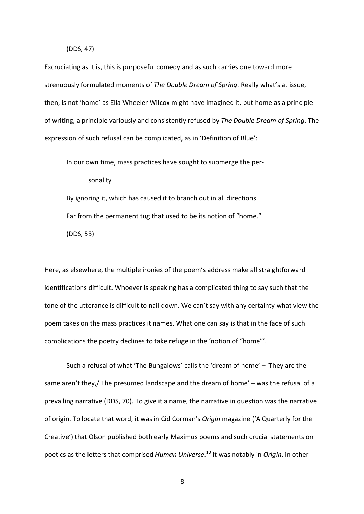#### (DDS, 47)

Excruciating as it is, this is purposeful comedy and as such carries one toward more strenuously formulated moments of *The Double Dream of Spring*. Really what's at issue, then, is not 'home' as Ella Wheeler Wilcox might have imagined it, but home as a principle of writing, a principle variously and consistently refused by *The Double Dream of Spring*. The expression of such refusal can be complicated, as in 'Definition of Blue':

In our own time, mass practices have sought to submerge the per‐

sonality

By ignoring it, which has caused it to branch out in all directions Far from the permanent tug that used to be its notion of "home." (DDS, 53)

Here, as elsewhere, the multiple ironies of the poem's address make all straightforward identifications difficult. Whoever is speaking has a complicated thing to say such that the tone of the utterance is difficult to nail down. We can't say with any certainty what view the poem takes on the mass practices it names. What one can say is that in the face of such complications the poetry declines to take refuge in the 'notion of "home"'.

Such a refusal of what 'The Bungalows' calls the 'dream of home' – 'They are the same aren't they,/ The presumed landscape and the dream of home' – was the refusal of a prevailing narrative (DDS, 70). To give it a name, the narrative in question was the narrative of origin. To locate that word, it was in Cid Corman's *Origin* magazine ('A Quarterly for the Creative') that Olson published both early Maximus poems and such crucial statements on poetics as the letters that comprised *Human Universe*. <sup>10</sup> It was notably in *Origin*, in other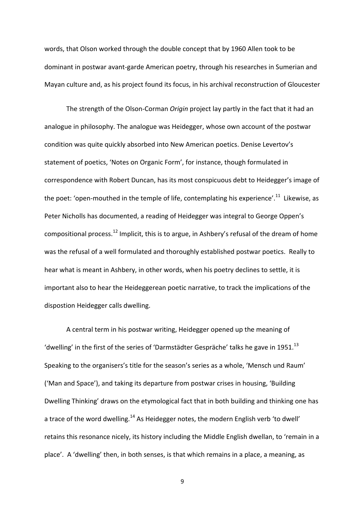words, that Olson worked through the double concept that by 1960 Allen took to be dominant in postwar avant‐garde American poetry, through his researches in Sumerian and Mayan culture and, as his project found its focus, in his archival reconstruction of Gloucester

The strength of the Olson‐Corman *Origin* project lay partly in the fact that it had an analogue in philosophy. The analogue was Heidegger, whose own account of the postwar condition was quite quickly absorbed into New American poetics. Denise Levertov's statement of poetics, 'Notes on Organic Form', for instance, though formulated in correspondence with Robert Duncan, has its most conspicuous debt to Heidegger's image of the poet: 'open-mouthed in the temple of life, contemplating his experience'.<sup>11</sup> Likewise, as Peter Nicholls has documented, a reading of Heidegger was integral to George Oppen's compositional process.<sup>12</sup> Implicit, this is to argue, in Ashbery's refusal of the dream of home was the refusal of a well formulated and thoroughly established postwar poetics. Really to hear what is meant in Ashbery, in other words, when his poetry declines to settle, it is important also to hear the Heideggerean poetic narrative, to track the implications of the dispostion Heidegger calls dwelling.

A central term in his postwar writing, Heidegger opened up the meaning of 'dwelling' in the first of the series of 'Darmstädter Gespräche' talks he gave in 1951. $^{13}$ Speaking to the organisers's title for the season's series as a whole, 'Mensch und Raum' ('Man and Space'), and taking its departure from postwar crises in housing, 'Building Dwelling Thinking' draws on the etymological fact that in both building and thinking one has a trace of the word dwelling.<sup>14</sup> As Heidegger notes, the modern English verb 'to dwell' retains this resonance nicely, its history including the Middle English dwellan, to 'remain in a place'. A 'dwelling' then, in both senses, is that which remains in a place, a meaning, as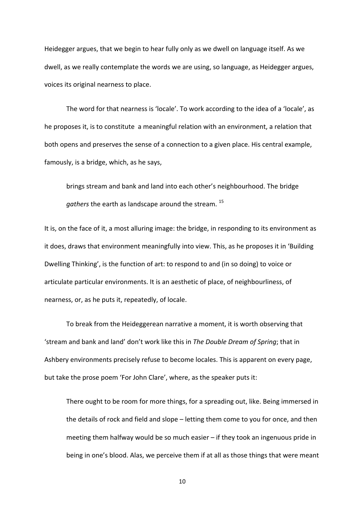Heidegger argues, that we begin to hear fully only as we dwell on language itself. As we dwell, as we really contemplate the words we are using, so language, as Heidegger argues, voices its original nearness to place.

The word for that nearness is 'locale'. To work according to the idea of a 'locale', as he proposes it, is to constitute a meaningful relation with an environment, a relation that both opens and preserves the sense of a connection to a given place. His central example, famously, is a bridge, which, as he says,

brings stream and bank and land into each other's neighbourhood. The bridge *gathers* the earth as landscape around the stream. <sup>15</sup>

It is, on the face of it, a most alluring image: the bridge, in responding to its environment as it does, draws that environment meaningfully into view. This, as he proposes it in 'Building Dwelling Thinking', is the function of art: to respond to and (in so doing) to voice or articulate particular environments. It is an aesthetic of place, of neighbourliness, of nearness, or, as he puts it, repeatedly, of locale.

To break from the Heideggerean narrative a moment, it is worth observing that 'stream and bank and land' don't work like this in *The Double Dream of Spring*; that in Ashbery environments precisely refuse to become locales. This is apparent on every page, but take the prose poem 'For John Clare', where, as the speaker puts it:

There ought to be room for more things, for a spreading out, like. Being immersed in the details of rock and field and slope – letting them come to you for once, and then meeting them halfway would be so much easier – if they took an ingenuous pride in being in one's blood. Alas, we perceive them if at all as those things that were meant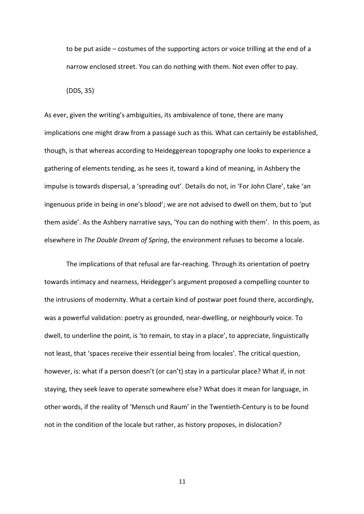to be put aside – costumes of the supporting actors or voice trilling at the end of a narrow enclosed street. You can do nothing with them. Not even offer to pay.

(DDS, 35)

As ever, given the writing's ambiguities, its ambivalence of tone, there are many implications one might draw from a passage such as this. What can certainly be established, though, is that whereas according to Heideggerean topography one looks to experience a gathering of elements tending, as he sees it, toward a kind of meaning, in Ashbery the impulse is towards dispersal, a 'spreading out'. Details do not, in 'For John Clare', take 'an ingenuous pride in being in one's blood'; we are not advised to dwell on them, but to 'put them aside'. As the Ashbery narrative says, 'You can do nothing with them'. In this poem, as elsewhere in *The Double Dream of Spring*, the environment refuses to become a locale.

The implications of that refusal are far-reaching. Through its orientation of poetry towards intimacy and nearness, Heidegger's argument proposed a compelling counter to the intrusions of modernity. What a certain kind of postwar poet found there, accordingly, was a powerful validation: poetry as grounded, near-dwelling, or neighbourly voice. To dwell, to underline the point, is 'to remain, to stay in a place', to appreciate, linguistically not least, that 'spaces receive their essential being from locales'. The critical question, however, is: what if a person doesn't (or can't) stay in a particular place? What if, in not staying, they seek leave to operate somewhere else? What does it mean for language, in other words, if the reality of 'Mensch und Raum' in the Twentieth‐Century is to be found not in the condition of the locale but rather, as history proposes, in dislocation?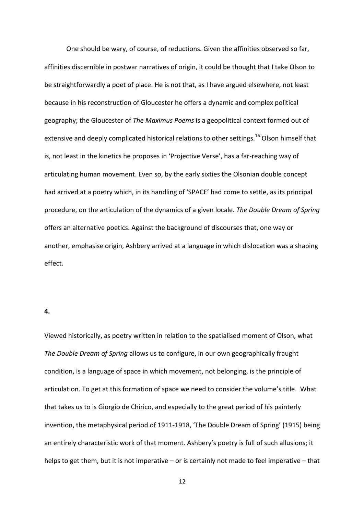One should be wary, of course, of reductions. Given the affinities observed so far, affinities discernible in postwar narratives of origin, it could be thought that I take Olson to be straightforwardly a poet of place. He is not that, as I have argued elsewhere, not least because in his reconstruction of Gloucester he offers a dynamic and complex political geography; the Gloucester of *The Maximus Poems* is a geopolitical context formed out of extensive and deeply complicated historical relations to other settings.<sup>16</sup> Olson himself that is, not least in the kinetics he proposes in 'Projective Verse', has a far‐reaching way of articulating human movement. Even so, by the early sixties the Olsonian double concept had arrived at a poetry which, in its handling of 'SPACE' had come to settle, as its principal procedure, on the articulation of the dynamics of a given locale. *The Double Dream of Spring* offers an alternative poetics. Against the background of discourses that, one way or another, emphasise origin, Ashbery arrived at a language in which dislocation was a shaping effect.

#### **4.**

Viewed historically, as poetry written in relation to the spatialised moment of Olson, what *The Double Dream of Spring* allows us to configure, in our own geographically fraught condition, is a language of space in which movement, not belonging, is the principle of articulation. To get at this formation of space we need to consider the volume's title. What that takes us to is Giorgio de Chirico, and especially to the great period of his painterly invention, the metaphysical period of 1911‐1918, 'The Double Dream of Spring' (1915) being an entirely characteristic work of that moment. Ashbery's poetry is full of such allusions; it helps to get them, but it is not imperative – or is certainly not made to feel imperative – that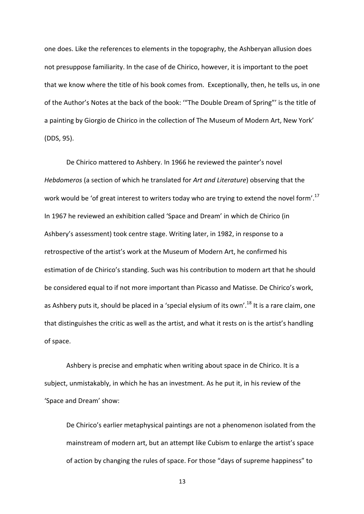one does. Like the references to elements in the topography, the Ashberyan allusion does not presuppose familiarity. In the case of de Chirico, however, it is important to the poet that we know where the title of his book comes from. Exceptionally, then, he tells us, in one of the Author's Notes at the back of the book: '"The Double Dream of Spring"' is the title of a painting by Giorgio de Chirico in the collection of The Museum of Modern Art, New York' (DDS, 95).

De Chirico mattered to Ashbery. In 1966 he reviewed the painter's novel *Hebdomeros* (a section of which he translated for *Art and Literature*) observing that the work would be 'of great interest to writers today who are trying to extend the novel form'.<sup>17</sup> In 1967 he reviewed an exhibition called 'Space and Dream' in which de Chirico (in Ashbery's assessment) took centre stage. Writing later, in 1982, in response to a retrospective of the artist's work at the Museum of Modern Art, he confirmed his estimation of de Chirico's standing. Such was his contribution to modern art that he should be considered equal to if not more important than Picasso and Matisse. De Chirico's work, as Ashbery puts it, should be placed in a 'special elysium of its own'.<sup>18</sup> It is a rare claim, one that distinguishes the critic as well as the artist, and what it rests on is the artist's handling of space.

Ashbery is precise and emphatic when writing about space in de Chirico. It is a subject, unmistakably, in which he has an investment. As he put it, in his review of the 'Space and Dream' show:

De Chirico's earlier metaphysical paintings are not a phenomenon isolated from the mainstream of modern art, but an attempt like Cubism to enlarge the artist's space of action by changing the rules of space. For those "days of supreme happiness" to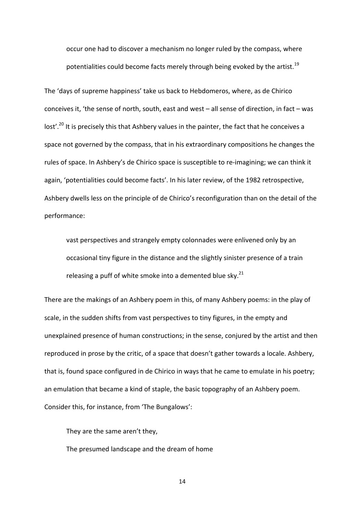occur one had to discover a mechanism no longer ruled by the compass, where potentialities could become facts merely through being evoked by the artist.<sup>19</sup>

The 'days of supreme happiness' take us back to Hebdomeros, where, as de Chirico conceives it, 'the sense of north, south, east and west – all sense of direction, in fact – was lost'.<sup>20</sup> It is precisely this that Ashbery values in the painter, the fact that he conceives a space not governed by the compass, that in his extraordinary compositions he changes the rules of space. In Ashbery's de Chirico space is susceptible to re‐imagining; we can think it again, 'potentialities could become facts'. In his later review, of the 1982 retrospective, Ashbery dwells less on the principle of de Chirico's reconfiguration than on the detail of the performance:

vast perspectives and strangely empty colonnades were enlivened only by an occasional tiny figure in the distance and the slightly sinister presence of a train releasing a puff of white smoke into a demented blue sky. $21$ 

There are the makings of an Ashbery poem in this, of many Ashbery poems: in the play of scale, in the sudden shifts from vast perspectives to tiny figures, in the empty and unexplained presence of human constructions; in the sense, conjured by the artist and then reproduced in prose by the critic, of a space that doesn't gather towards a locale. Ashbery, that is, found space configured in de Chirico in ways that he came to emulate in his poetry; an emulation that became a kind of staple, the basic topography of an Ashbery poem. Consider this, for instance, from 'The Bungalows':

They are the same aren't they,

The presumed landscape and the dream of home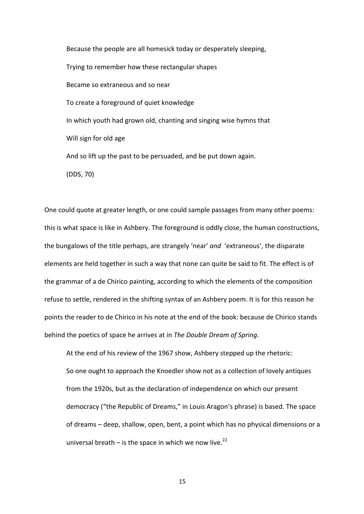Because the people are all homesick today or desperately sleeping, Trying to remember how these rectangular shapes Became so extraneous and so near To create a foreground of quiet knowledge In which youth had grown old, chanting and singing wise hymns that Will sign for old age And so lift up the past to be persuaded, and be put down again. (DDS, 70)

One could quote at greater length, or one could sample passages from many other poems: this is what space is like in Ashbery. The foreground is oddly close, the human constructions, the bungalows of the title perhaps, are strangely 'near' *and* 'extraneous', the disparate elements are held together in such a way that none can quite be said to fit. The effect is of the grammar of a de Chirico painting, according to which the elements of the composition refuse to settle, rendered in the shifting syntax of an Ashbery poem. It is for this reason he points the reader to de Chirico in his note at the end of the book: because de Chirico stands behind the poetics of space he arrives at in *The Double Dream of Spring*.

At the end of his review of the 1967 show, Ashbery stepped up the rhetoric: So one ought to approach the Knoedler show not as a collection of lovely antiques from the 1920s, but as the declaration of independence on which our present democracy ("the Republic of Dreams," in Louis Aragon's phrase) is based. The space of dreams – deep, shallow, open, bent, a point which has no physical dimensions or a universal breath – is the space in which we now live.<sup>22</sup>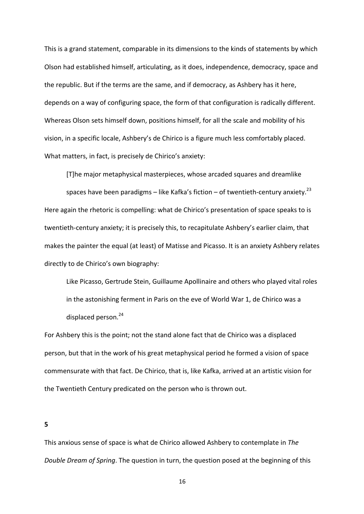This is a grand statement, comparable in its dimensions to the kinds of statements by which Olson had established himself, articulating, as it does, independence, democracy, space and the republic. But if the terms are the same, and if democracy, as Ashbery has it here, depends on a way of configuring space, the form of that configuration is radically different. Whereas Olson sets himself down, positions himself, for all the scale and mobility of his vision, in a specific locale, Ashbery's de Chirico is a figure much less comfortably placed. What matters, in fact, is precisely de Chirico's anxiety:

[T]he major metaphysical masterpieces, whose arcaded squares and dreamlike

spaces have been paradigms – like Kafka's fiction – of twentieth-century anxiety.<sup>23</sup> Here again the rhetoric is compelling: what de Chirico's presentation of space speaks to is twentieth‐century anxiety; it is precisely this, to recapitulate Ashbery's earlier claim, that makes the painter the equal (at least) of Matisse and Picasso. It is an anxiety Ashbery relates directly to de Chirico's own biography:

Like Picasso, Gertrude Stein, Guillaume Apollinaire and others who played vital roles in the astonishing ferment in Paris on the eve of World War 1, de Chirico was a displaced person.<sup>24</sup>

For Ashbery this is the point; not the stand alone fact that de Chirico was a displaced person, but that in the work of his great metaphysical period he formed a vision of space commensurate with that fact. De Chirico, that is, like Kafka, arrived at an artistic vision for the Twentieth Century predicated on the person who is thrown out.

**5**

This anxious sense of space is what de Chirico allowed Ashbery to contemplate in *The Double Dream of Spring*. The question in turn, the question posed at the beginning of this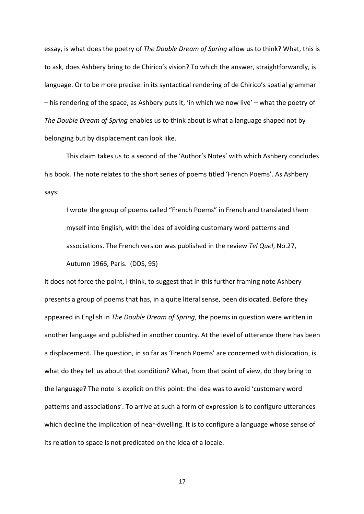essay, is what does the poetry of *The Double Dream of Spring* allow us to think? What, this is to ask, does Ashbery bring to de Chirico's vision? To which the answer, straightforwardly, is language. Or to be more precise: in its syntactical rendering of de Chirico's spatial grammar – his rendering of the space, as Ashbery puts it, 'in which we now live' – what the poetry of *The Double Dream of Spring* enables us to think about is what a language shaped not by belonging but by displacement can look like.

This claim takes us to a second of the 'Author's Notes' with which Ashbery concludes his book. The note relates to the short series of poems titled 'French Poems'. As Ashbery says:

I wrote the group of poems called "French Poems" in French and translated them myself into English, with the idea of avoiding customary word patterns and associations. The French version was published in the review *Tel Quel*, No.27, Autumn 1966, Paris. (DDS, 95)

It does not force the point, I think, to suggest that in this further framing note Ashbery presents a group of poems that has, in a quite literal sense, been dislocated. Before they appeared in English in *The Double Dream of Spring*, the poems in question were written in another language and published in another country. At the level of utterance there has been a displacement. The question, in so far as 'French Poems' are concerned with dislocation, is what do they tell us about that condition? What, from that point of view, do they bring to the language? The note is explicit on this point: the idea was to avoid 'customary word patterns and associations'. To arrive at such a form of expression is to configure utterances which decline the implication of near-dwelling. It is to configure a language whose sense of its relation to space is not predicated on the idea of a locale.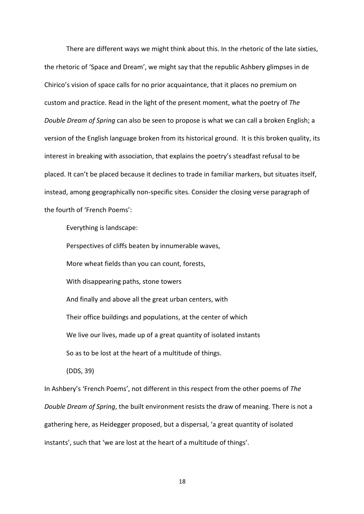There are different ways we might think about this. In the rhetoric of the late sixties, the rhetoric of 'Space and Dream', we might say that the republic Ashbery glimpses in de Chirico's vision of space calls for no prior acquaintance, that it places no premium on custom and practice. Read in the light of the present moment, what the poetry of *The Double Dream of Spring* can also be seen to propose is what we can call a broken English; a version of the English language broken from its historical ground. It is this broken quality, its interest in breaking with association, that explains the poetry's steadfast refusal to be placed. It can't be placed because it declines to trade in familiar markers, but situates itself, instead, among geographically non‐specific sites. Consider the closing verse paragraph of the fourth of 'French Poems':

Everything is landscape:

Perspectives of cliffs beaten by innumerable waves,

More wheat fields than you can count, forests,

With disappearing paths, stone towers

And finally and above all the great urban centers, with

Their office buildings and populations, at the center of which

We live our lives, made up of a great quantity of isolated instants

So as to be lost at the heart of a multitude of things.

(DDS, 39)

In Ashbery's 'French Poems', not different in this respect from the other poems of *The Double Dream of Spring*, the built environment resists the draw of meaning. There is not a gathering here, as Heidegger proposed, but a dispersal, 'a great quantity of isolated instants', such that 'we are lost at the heart of a multitude of things'.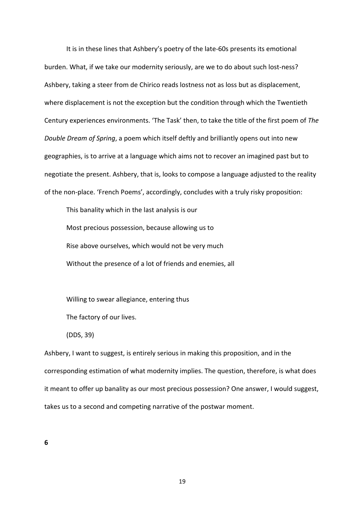It is in these lines that Ashbery's poetry of the late-60s presents its emotional burden. What, if we take our modernity seriously, are we to do about such lost-ness? Ashbery, taking a steer from de Chirico reads lostness not as loss but as displacement, where displacement is not the exception but the condition through which the Twentieth Century experiences environments. 'The Task' then, to take the title of the first poem of *The Double Dream of Spring*, a poem which itself deftly and brilliantly opens out into new geographies, is to arrive at a language which aims not to recover an imagined past but to negotiate the present. Ashbery, that is, looks to compose a language adjusted to the reality of the non‐place. 'French Poems', accordingly, concludes with a truly risky proposition:

This banality which in the last analysis is our Most precious possession, because allowing us to Rise above ourselves, which would not be very much Without the presence of a lot of friends and enemies, all

Willing to swear allegiance, entering thus

The factory of our lives.

(DDS, 39)

Ashbery, I want to suggest, is entirely serious in making this proposition, and in the corresponding estimation of what modernity implies. The question, therefore, is what does it meant to offer up banality as our most precious possession? One answer, I would suggest, takes us to a second and competing narrative of the postwar moment.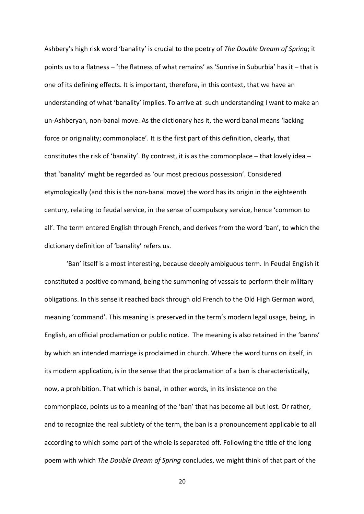Ashbery's high risk word 'banality' is crucial to the poetry of *The Double Dream of Spring*; it points us to a flatness – 'the flatness of what remains' as 'Sunrise in Suburbia' has it – that is one of its defining effects. It is important, therefore, in this context, that we have an understanding of what 'banality' implies. To arrive at such understanding I want to make an un‐Ashberyan, non‐banal move. As the dictionary has it, the word banal means 'lacking force or originality; commonplace'. It is the first part of this definition, clearly, that constitutes the risk of 'banality'. By contrast, it is as the commonplace – that lovely idea – that 'banality' might be regarded as 'our most precious possession'. Considered etymologically (and this is the non‐banal move) the word has its origin in the eighteenth century, relating to feudal service, in the sense of compulsory service, hence 'common to all'. The term entered English through French, and derives from the word 'ban', to which the dictionary definition of 'banality' refers us.

'Ban' itself is a most interesting, because deeply ambiguous term. In Feudal English it constituted a positive command, being the summoning of vassals to perform their military obligations. In this sense it reached back through old French to the Old High German word, meaning 'command'. This meaning is preserved in the term's modern legal usage, being, in English, an official proclamation or public notice. The meaning is also retained in the 'banns' by which an intended marriage is proclaimed in church. Where the word turns on itself, in its modern application, is in the sense that the proclamation of a ban is characteristically, now, a prohibition. That which is banal, in other words, in its insistence on the commonplace, points us to a meaning of the 'ban' that has become all but lost. Or rather, and to recognize the real subtlety of the term, the ban is a pronouncement applicable to all according to which some part of the whole is separated off. Following the title of the long poem with which *The Double Dream of Spring* concludes, we might think of that part of the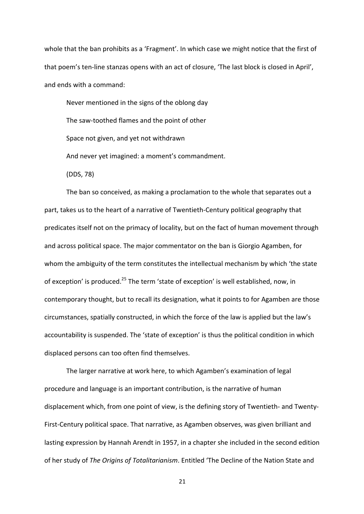whole that the ban prohibits as a 'Fragment'. In which case we might notice that the first of that poem's ten‐line stanzas opens with an act of closure, 'The last block is closed in April', and ends with a command:

Never mentioned in the signs of the oblong day The saw‐toothed flames and the point of other Space not given, and yet not withdrawn And never yet imagined: a moment's commandment. (DDS, 78)

The ban so conceived, as making a proclamation to the whole that separates out a part, takes us to the heart of a narrative of Twentieth‐Century political geography that predicates itself not on the primacy of locality, but on the fact of human movement through and across political space. The major commentator on the ban is Giorgio Agamben, for whom the ambiguity of the term constitutes the intellectual mechanism by which 'the state of exception' is produced.<sup>25</sup> The term 'state of exception' is well established, now, in contemporary thought, but to recall its designation, what it points to for Agamben are those circumstances, spatially constructed, in which the force of the law is applied but the law's accountability is suspended. The 'state of exception' is thus the political condition in which displaced persons can too often find themselves.

The larger narrative at work here, to which Agamben's examination of legal procedure and language is an important contribution, is the narrative of human displacement which, from one point of view, is the defining story of Twentieth‐ and Twenty‐ First-Century political space. That narrative, as Agamben observes, was given brilliant and lasting expression by Hannah Arendt in 1957, in a chapter she included in the second edition of her study of *The Origins of Totalitarianism*. Entitled 'The Decline of the Nation State and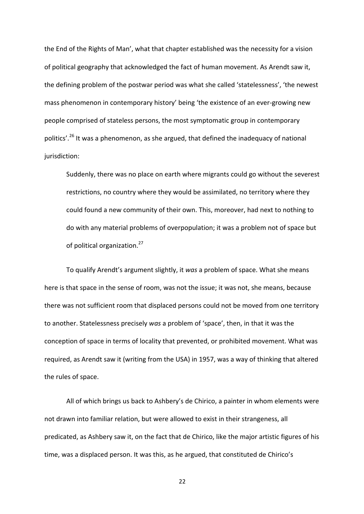the End of the Rights of Man', what that chapter established was the necessity for a vision of political geography that acknowledged the fact of human movement. As Arendt saw it, the defining problem of the postwar period was what she called 'statelessness', 'the newest mass phenomenon in contemporary history' being 'the existence of an ever‐growing new people comprised of stateless persons, the most symptomatic group in contemporary politics'.<sup>26</sup> It was a phenomenon, as she argued, that defined the inadequacy of national jurisdiction:

Suddenly, there was no place on earth where migrants could go without the severest restrictions, no country where they would be assimilated, no territory where they could found a new community of their own. This, moreover, had next to nothing to do with any material problems of overpopulation; it was a problem not of space but of political organization.<sup>27</sup>

To qualify Arendt's argument slightly, it *was* a problem of space. What she means here is that space in the sense of room, was not the issue; it was not, she means, because there was not sufficient room that displaced persons could not be moved from one territory to another. Statelessness precisely *was* a problem of 'space', then, in that it was the conception of space in terms of locality that prevented, or prohibited movement. What was required, as Arendt saw it (writing from the USA) in 1957, was a way of thinking that altered the rules of space.

All of which brings us back to Ashbery's de Chirico, a painter in whom elements were not drawn into familiar relation, but were allowed to exist in their strangeness, all predicated, as Ashbery saw it, on the fact that de Chirico, like the major artistic figures of his time, was a displaced person. It was this, as he argued, that constituted de Chirico's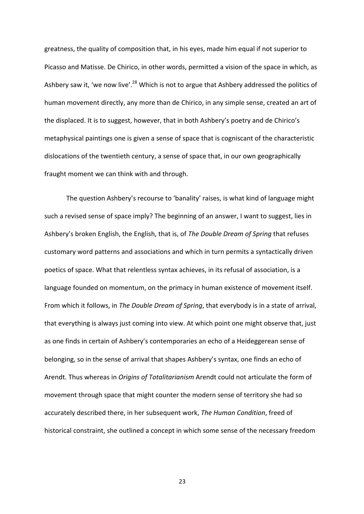greatness, the quality of composition that, in his eyes, made him equal if not superior to Picasso and Matisse. De Chirico, in other words, permitted a vision of the space in which, as Ashbery saw it, 'we now live'.<sup>28</sup> Which is not to argue that Ashbery addressed the politics of human movement directly, any more than de Chirico, in any simple sense, created an art of the displaced. It is to suggest, however, that in both Ashbery's poetry and de Chirico's metaphysical paintings one is given a sense of space that is cogniscant of the characteristic dislocations of the twentieth century, a sense of space that, in our own geographically fraught moment we can think with and through.

The question Ashbery's recourse to 'banality' raises, is what kind of language might such a revised sense of space imply? The beginning of an answer, I want to suggest, lies in Ashbery's broken English, the English, that is, of *The Double Dream of Spring* that refuses customary word patterns and associations and which in turn permits a syntactically driven poetics of space. What that relentless syntax achieves, in its refusal of association, is a language founded on momentum, on the primacy in human existence of movement itself. From which it follows, in *The Double Dream of Spring*, that everybody is in a state of arrival, that everything is always just coming into view. At which point one might observe that, just as one finds in certain of Ashbery's contemporaries an echo of a Heideggerean sense of belonging, so in the sense of arrival that shapes Ashbery's syntax, one finds an echo of Arendt. Thus whereas in *Origins of Totalitarianism* Arendt could not articulate the form of movement through space that might counter the modern sense of territory she had so accurately described there, in her subsequent work, *The Human Condition*, freed of historical constraint, she outlined a concept in which some sense of the necessary freedom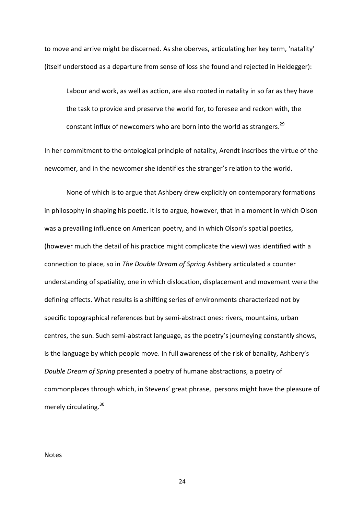to move and arrive might be discerned. As she oberves, articulating her key term, 'natality' (itself understood as a departure from sense of loss she found and rejected in Heidegger):

Labour and work, as well as action, are also rooted in natality in so far as they have the task to provide and preserve the world for, to foresee and reckon with, the constant influx of newcomers who are born into the world as strangers.<sup>29</sup>

In her commitment to the ontological principle of natality, Arendt inscribes the virtue of the newcomer, and in the newcomer she identifies the stranger's relation to the world.

None of which is to argue that Ashbery drew explicitly on contemporary formations in philosophy in shaping his poetic. It is to argue, however, that in a moment in which Olson was a prevailing influence on American poetry, and in which Olson's spatial poetics, (however much the detail of his practice might complicate the view) was identified with a connection to place, so in *The Double Dream of Spring* Ashbery articulated a counter understanding of spatiality, one in which dislocation, displacement and movement were the defining effects. What results is a shifting series of environments characterized not by specific topographical references but by semi‐abstract ones: rivers, mountains, urban centres, the sun. Such semi‐abstract language, as the poetry's journeying constantly shows, is the language by which people move. In full awareness of the risk of banality, Ashbery's *Double Dream of Spring* presented a poetry of humane abstractions, a poetry of commonplaces through which, in Stevens' great phrase, persons might have the pleasure of merely circulating.<sup>30</sup>

Notes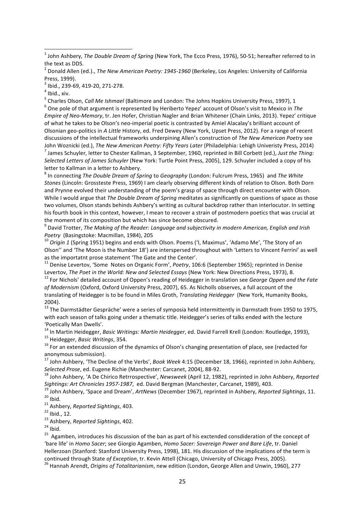<u> 1989 - Johann Stein, fransk politiker (d. 1989)</u>

<sup>5</sup> Charles Olson, *Call Me Ishmael* (Baltimore and London: The Johns Hopkins University Press, 1997), 1

6 One pole of that argument is represented by Heriberto Yepez' account of Olson's visit to Mexico in *The Empire of Neo‐Memory*, tr. Jen Hofer, Christian Nagler and Brian Whitener (Chain Links, 2013). Yepez' critique of what he takes to be Olson's neo‐imperial poetic is contrasted by Amiel Alacalay's brilliant account of Olsonian geo‐politics in *A Little* History, ed. Fred Dewey (New York, Upset Press, 2012). For a range of recent discussions of the intellectual frameworks underpining Allen's construction of *The New American Poetry* see John Woznicki (ed.), *The New American Poetry: Fifty Years Later* (Philadelphia: Lehigh Univeristy Press, 2014) 7 James Schuyler, letter to Chester Kallman, 3 September, 1960, reprinted in Bill Corbett (ed.), *Just the Thing: Selected Letters of James Schuyler* (New York: Turtle Point Press, 2005), 129. Schuyler included a copy of his letter to Kallman in a letter to Ashbery.

8 In connecting *The Double Dream of Spring* to *Geography* (London: Fulcrum Press, 1965) and *The White Stones* (Lincoln: Grossteste Press, 1969) I am clearly observing different kinds of relation to Olson. Both Dorn and Prynne evolved their understanding of the poem's grasp of space through direct encounter with Olson. While I would argue that *The Double Dream of Spring* meditates as significantly on questions of space as those two volumes, Olson stands behinds Ashbery's writing as cultural backdrop rather than interlocutor. In setting his fourth book in this context, however, I mean to recover a strain of postmodern poetics that was crucial at the moment of its composition but which has since become obscured.

9 David Trotter, *The Making of the Reader: Language and subjectivity in modern American, English and Irish Poetry* (Basingstoke: Macmillan, 1984), 205

<sup>10</sup> *Origin 1* (Spring 1951) begins and ends with Olson. Poems ('I, Maximus', 'Adamo Me', 'The Story of an Olson'' and 'The Moon is the Number 18') are interspersed throughout with 'Letters to Vincent Ferrini' as well as the importatnt prose statement 'The Gate and the Center'.

<sup>11</sup> Denise Levertov, 'Some Notes on Organic Form', *Poetry*, 106:6 (September 1965); reprinted in Denise Levertov, *The Poet in the World: New and Selected Essays* (New York: New Directions Press, 1973), 8.

<sup>12</sup> For Nichols' detailed account of Oppen's reading of Heidegger in translation see *George Oppen and the Fate of Modernism* (Oxford, Oxford University Press, 2007), 65. As Nicholls observes, a full account of the translating of Heidegger is to be found in Miles Groth, *Translating Heidegger* (New York, Humanity Books, 2004).

<sup>13</sup> The Darmstädter Gespräche' were a series of symposia held intermittently in Darmstadt from 1950 to 1975, with each season of talks going under a thematic title. Heidegger's series of talks ended with the lecture 'Poetically Man Dwells'.

<sup>14</sup> In Martin Heidegger, *Basic Writings: Martin Heidegger*, ed. David Farrell Krell (London: Routledge, 1993), <sup>15</sup> Heidegger, *Basic Writings*, 354.

 $16$  For an extended discussion of the dynamics of Olson's changing presentation of place, see (redacted for anonymous submission).

<sup>17</sup> John Ashbery, 'The Decline of the Verbs', *Book Week* 4:15 (December 18, 1966), reprinted in John Ashbery, *Selected Prose*, ed. Eugene Richie (Manchester: Carcanet, 2004), 88‐92.

<sup>18</sup> John Ashbery, 'A De Chirico Retrrospective', *Newsweek* (April 12, 1982), reprinted in John Ashbery, *Reported Sightings: Art Chronicles 1957‐1987*, ed. David Bergman (Manchester, Carcanet, 1989), 403.

<sup>19</sup> John Ashbery, 'Space and Dream', *ArtNews* (December 1967), reprinted in Ashbery, *Reported Sightings*, 11.  $20$  Ibid.

<sup>21</sup> Ashbery, *Reported Sightings*, 403.

<sup>23</sup> Ashbery, *Reported Sightings*, 402.

 $24$  Ibid.

<sup>25</sup> Agamben, introduces his discussion of the ban as part of his exctended consdideration of the concept of 'bare life' in *Homo Sacer*; see Giorgio Agamben, *Homo Sacer: Sovereign Power and Bare Life*, tr. Daniel Hellerzoan (Stanford: Stanford University Press, 1998), 181. His discussion of the implications of the term is continued through State *of Exception*, tr. Kevin Attell (Chicago, University of Chicago Press, 2005).

<sup>26</sup> Hannah Arendt, *Origins of Totalitarianism*, new edition (London, George Allen and Unwin, 1960), 277

<sup>&</sup>lt;sup>1</sup> John Ashbery, *The Double Dream of Spring* (New York, The Ecco Press, 1976), 50-51; hereafter referred to in the text as DDS.

<sup>2</sup> Donald Allen (ed.)., *The New American Poetry: 1945‐1960* (Berkeley, Los Angeles: University of California Press, 1999).

<sup>3</sup> Ibid., 239‐69, 419‐20, 271‐278.

 $<sup>4</sup>$  Ibid., xiv.</sup>

<sup>22</sup> Ibid., 12.